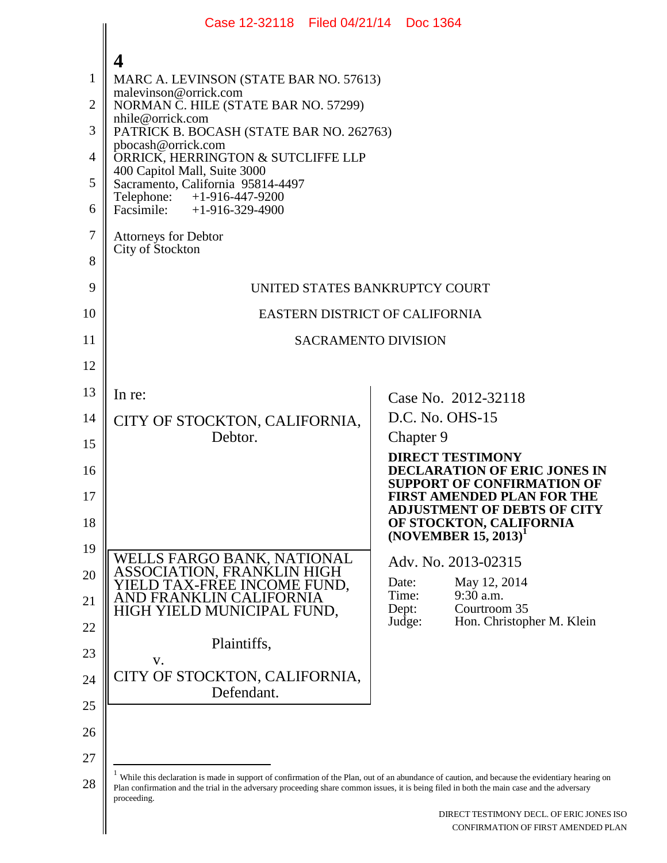|                | Case 12-32118 Filed 04/21/14 Doc 1364                                                                                                                                                                                                                                                       |                                                                                             |
|----------------|---------------------------------------------------------------------------------------------------------------------------------------------------------------------------------------------------------------------------------------------------------------------------------------------|---------------------------------------------------------------------------------------------|
|                | 4                                                                                                                                                                                                                                                                                           |                                                                                             |
| $\mathbf{1}$   | MARC A. LEVINSON (STATE BAR NO. 57613)                                                                                                                                                                                                                                                      |                                                                                             |
| $\overline{2}$ | malevinson@orrick.com<br>NORMAN C. HILE (STATE BAR NO. 57299)<br>nhile@orrick.com<br>PATRICK B. BOCASH (STATE BAR NO. 262763)<br>pbocash@orrick.com<br>ORRICK, HERRINGTON & SUTCLIFFE LLP<br>400 Capitol Mall, Suite 3000<br>Sacramento, California 95814-4497                              |                                                                                             |
| 3              |                                                                                                                                                                                                                                                                                             |                                                                                             |
| $\overline{4}$ |                                                                                                                                                                                                                                                                                             |                                                                                             |
| 5              |                                                                                                                                                                                                                                                                                             |                                                                                             |
| 6              | Telephone: +1-916-447-9200<br>Facsimile: $+1-916-329-4900$                                                                                                                                                                                                                                  |                                                                                             |
| $\overline{7}$ | <b>Attorneys for Debtor</b>                                                                                                                                                                                                                                                                 |                                                                                             |
| 8              | City of Stockton                                                                                                                                                                                                                                                                            |                                                                                             |
| 9              | UNITED STATES BANKRUPTCY COURT                                                                                                                                                                                                                                                              |                                                                                             |
| 10             | EASTERN DISTRICT OF CALIFORNIA                                                                                                                                                                                                                                                              |                                                                                             |
| 11             | <b>SACRAMENTO DIVISION</b>                                                                                                                                                                                                                                                                  |                                                                                             |
| 12             |                                                                                                                                                                                                                                                                                             |                                                                                             |
| 13             | In re:                                                                                                                                                                                                                                                                                      | Case No. 2012-32118                                                                         |
| 14             | CITY OF STOCKTON, CALIFORNIA,                                                                                                                                                                                                                                                               | D.C. No. OHS-15                                                                             |
| 15             | Debtor.                                                                                                                                                                                                                                                                                     | Chapter 9<br><b>DIRECT TESTIMONY</b>                                                        |
| 16             |                                                                                                                                                                                                                                                                                             | DECLARATION OF ERIC JONES IN<br><b>SUPPORT OF CONFIRMATION OF</b>                           |
| 17<br>18       |                                                                                                                                                                                                                                                                                             | FIRST AMENDED PLAN FOR THE<br><b>ADJUSTMENT OF DEBTS OF CITY</b><br>OF STOCKTON, CALIFORNIA |
| 19             |                                                                                                                                                                                                                                                                                             | $(NOVEMBER 15, 2013)^1$                                                                     |
| 20             | WELLS FARGO BANK, NATIONAL<br>ASSOCIATION, FRANKLIN HIGH                                                                                                                                                                                                                                    | Adv. No. 2013-02315                                                                         |
| 21             | IELD TAX-FREE INCOME FUND,<br>AND FRANKLIN CALIFORNIA                                                                                                                                                                                                                                       | Date:<br>May 12, 2014<br>9:30 a.m.<br>Time:                                                 |
| 22             | HIGH YIELD MUNICIPAL FUND,                                                                                                                                                                                                                                                                  | Courtroom 35<br>Dept:<br>Hon. Christopher M. Klein<br>Judge:                                |
| 23             | Plaintiffs,                                                                                                                                                                                                                                                                                 |                                                                                             |
| 24             | V.<br>CITY OF STOCKTON, CALIFORNIA,                                                                                                                                                                                                                                                         |                                                                                             |
| 25             | Defendant.                                                                                                                                                                                                                                                                                  |                                                                                             |
| 26             |                                                                                                                                                                                                                                                                                             |                                                                                             |
| 27             |                                                                                                                                                                                                                                                                                             |                                                                                             |
| 28             | While this declaration is made in support of confirmation of the Plan, out of an abundance of caution, and because the evidentiary hearing on<br>Plan confirmation and the trial in the adversary proceeding share common issues, it is being filed in both the main case and the adversary |                                                                                             |
|                | proceeding.                                                                                                                                                                                                                                                                                 | DIRECT TESTIMONY DECL. OF ERIC JONES ISO<br>CONFIRMATION OF FIRST AMENDED PLAN              |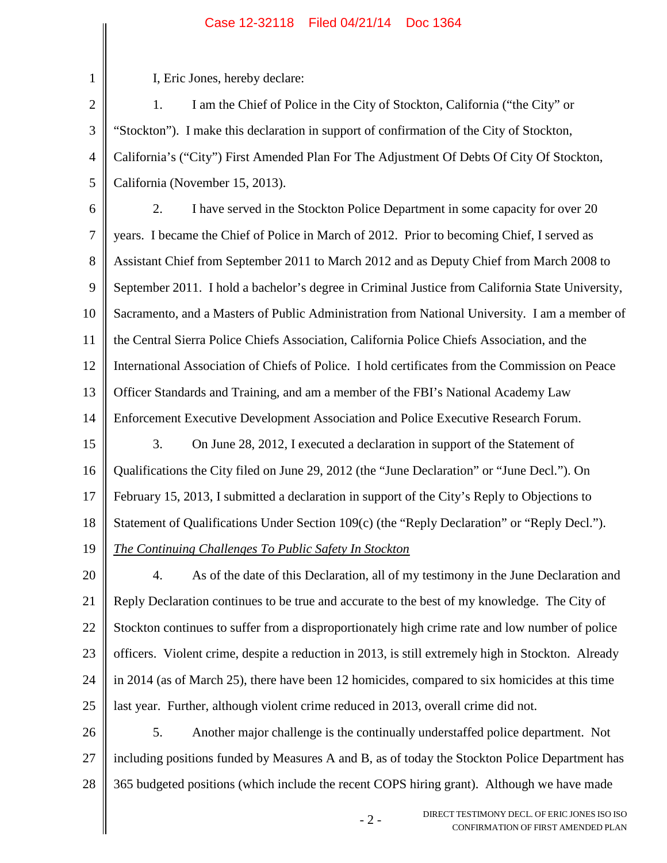## Case 12-32118 Filed 04/21/14 Doc 1364

1 2 3 4 5 6 7 8 9 10 11 12 13 14 15 16 17 18 19 20 21 22 23 24 I, Eric Jones, hereby declare: 1. I am the Chief of Police in the City of Stockton, California ("the City" or "Stockton"). I make this declaration in support of confirmation of the City of Stockton, California's ("City") First Amended Plan For The Adjustment Of Debts Of City Of Stockton, California (November 15, 2013). 2. I have served in the Stockton Police Department in some capacity for over 20 years. I became the Chief of Police in March of 2012. Prior to becoming Chief, I served as Assistant Chief from September 2011 to March 2012 and as Deputy Chief from March 2008 to September 2011. I hold a bachelor's degree in Criminal Justice from California State University, Sacramento, and a Masters of Public Administration from National University. I am a member of the Central Sierra Police Chiefs Association, California Police Chiefs Association, and the International Association of Chiefs of Police. I hold certificates from the Commission on Peace Officer Standards and Training, and am a member of the FBI's National Academy Law Enforcement Executive Development Association and Police Executive Research Forum. 3. On June 28, 2012, I executed a declaration in support of the Statement of Qualifications the City filed on June 29, 2012 (the "June Declaration" or "June Decl."). On February 15, 2013, I submitted a declaration in support of the City's Reply to Objections to Statement of Qualifications Under Section 109(c) (the "Reply Declaration" or "Reply Decl."). *The Continuing Challenges To Public Safety In Stockton* 4. As of the date of this Declaration, all of my testimony in the June Declaration and Reply Declaration continues to be true and accurate to the best of my knowledge. The City of Stockton continues to suffer from a disproportionately high crime rate and low number of police officers. Violent crime, despite a reduction in 2013, is still extremely high in Stockton. Already in 2014 (as of March 25), there have been 12 homicides, compared to six homicides at this time

26 27 28 5. Another major challenge is the continually understaffed police department. Not including positions funded by Measures A and B, as of today the Stockton Police Department has 365 budgeted positions (which include the recent COPS hiring grant). Although we have made

last year. Further, although violent crime reduced in 2013, overall crime did not.

25

- 2 - DIRECT TESTIMONY DECL. OF ERIC JONES ISO ISO CONFIRMATION OF FIRST AMENDED PLAN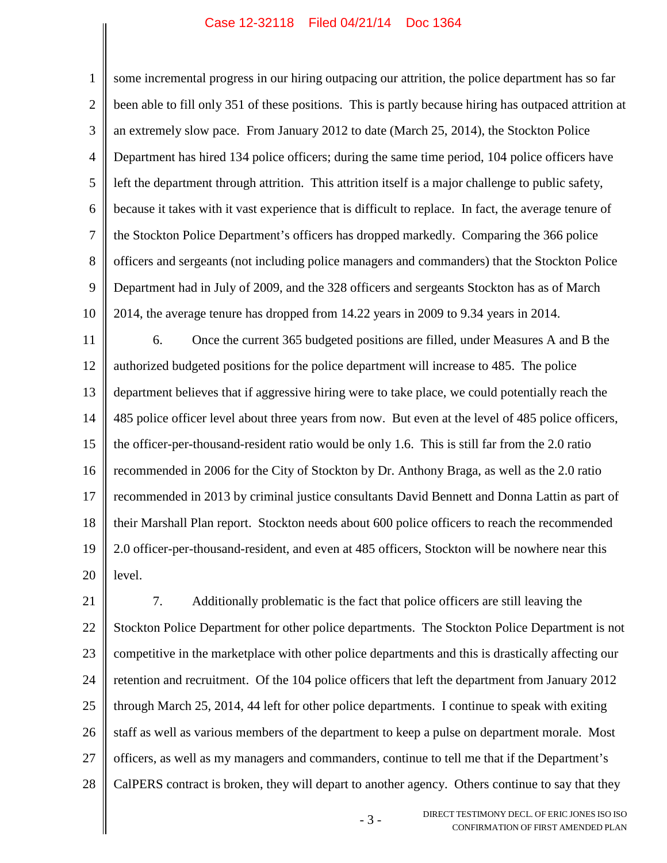## Case 12-32118 Filed 04/21/14 Doc 1364

1 2 3 4 5 6 7 8 9 10 some incremental progress in our hiring outpacing our attrition, the police department has so far been able to fill only 351 of these positions. This is partly because hiring has outpaced attrition at an extremely slow pace. From January 2012 to date (March 25, 2014), the Stockton Police Department has hired 134 police officers; during the same time period, 104 police officers have left the department through attrition. This attrition itself is a major challenge to public safety, because it takes with it vast experience that is difficult to replace. In fact, the average tenure of the Stockton Police Department's officers has dropped markedly. Comparing the 366 police officers and sergeants (not including police managers and commanders) that the Stockton Police Department had in July of 2009, and the 328 officers and sergeants Stockton has as of March 2014, the average tenure has dropped from 14.22 years in 2009 to 9.34 years in 2014.

11 12 13 14 15 16 17 18 19 20 6. Once the current 365 budgeted positions are filled, under Measures A and B the authorized budgeted positions for the police department will increase to 485. The police department believes that if aggressive hiring were to take place, we could potentially reach the 485 police officer level about three years from now. But even at the level of 485 police officers, the officer-per-thousand-resident ratio would be only 1.6. This is still far from the 2.0 ratio recommended in 2006 for the City of Stockton by Dr. Anthony Braga, as well as the 2.0 ratio recommended in 2013 by criminal justice consultants David Bennett and Donna Lattin as part of their Marshall Plan report. Stockton needs about 600 police officers to reach the recommended 2.0 officer-per-thousand-resident, and even at 485 officers, Stockton will be nowhere near this level.

21 22 23 24 25 26 27 28 7. Additionally problematic is the fact that police officers are still leaving the Stockton Police Department for other police departments. The Stockton Police Department is not competitive in the marketplace with other police departments and this is drastically affecting our retention and recruitment. Of the 104 police officers that left the department from January 2012 through March 25, 2014, 44 left for other police departments. I continue to speak with exiting staff as well as various members of the department to keep a pulse on department morale. Most officers, as well as my managers and commanders, continue to tell me that if the Department's CalPERS contract is broken, they will depart to another agency. Others continue to say that they